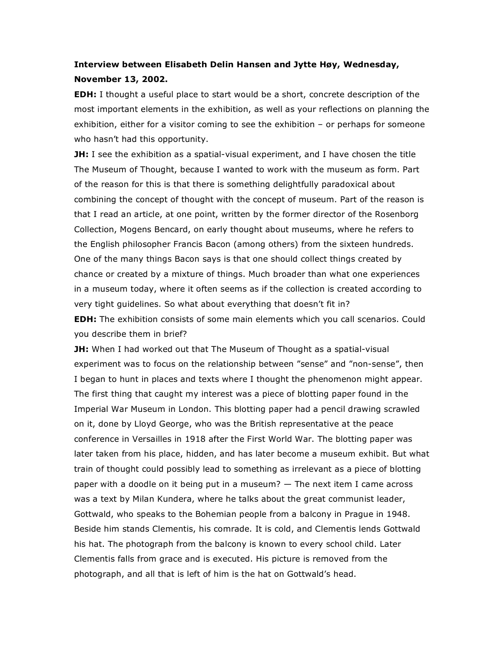## **Interview between Elisabeth Delin Hansen and Jytte Høy, Wednesday, November 13, 2002.**

**EDH:** I thought a useful place to start would be a short, concrete description of the most important elements in the exhibition, as well as your reflections on planning the exhibition, either for a visitor coming to see the exhibition – or perhaps for someone who hasn't had this opportunity.

**JH:** I see the exhibition as a spatial-visual experiment, and I have chosen the title The Museum of Thought, because I wanted to work with the museum as form. Part of the reason for this is that there is something delightfully paradoxical about combining the concept of thought with the concept of museum. Part of the reason is that I read an article, at one point, written by the former director of the Rosenborg Collection, Mogens Bencard, on early thought about museums, where he refers to the English philosopher Francis Bacon (among others) from the sixteen hundreds. One of the many things Bacon says is that one should collect things created by chance or created by a mixture of things. Much broader than what one experiences in a museum today, where it often seems as if the collection is created according to very tight guidelines. So what about everything that doesn't fit in?

**EDH:** The exhibition consists of some main elements which you call scenarios. Could you describe them in brief?

**JH:** When I had worked out that The Museum of Thought as a spatial-visual experiment was to focus on the relationship between "sense" and "non-sense", then I began to hunt in places and texts where I thought the phenomenon might appear. The first thing that caught my interest was a piece of blotting paper found in the Imperial War Museum in London. This blotting paper had a pencil drawing scrawled on it, done by Lloyd George, who was the British representative at the peace conference in Versailles in 1918 after the First World War. The blotting paper was later taken from his place, hidden, and has later become a museum exhibit. But what train of thought could possibly lead to something as irrelevant as a piece of blotting paper with a doodle on it being put in a museum? — The next item I came across was a text by Milan Kundera, where he talks about the great communist leader, Gottwald, who speaks to the Bohemian people from a balcony in Prague in 1948. Beside him stands Clementis, his comrade. It is cold, and Clementis lends Gottwald his hat. The photograph from the balcony is known to every school child. Later Clementis falls from grace and is executed. His picture is removed from the photograph, and all that is left of him is the hat on Gottwald's head.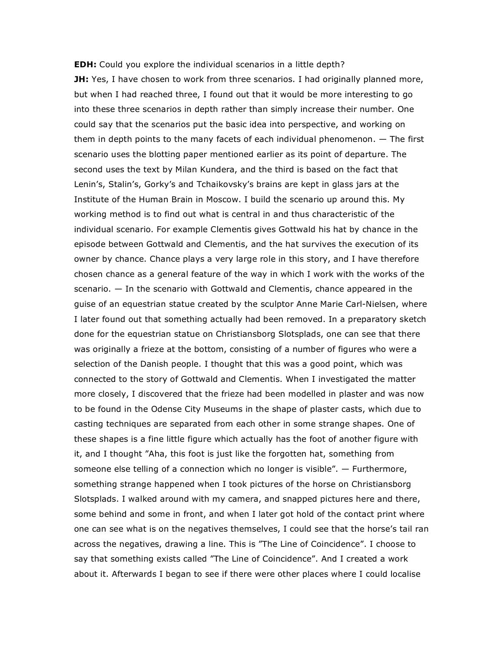**EDH:** Could you explore the individual scenarios in a little depth? **JH:** Yes, I have chosen to work from three scenarios. I had originally planned more, but when I had reached three, I found out that it would be more interesting to go into these three scenarios in depth rather than simply increase their number. One could say that the scenarios put the basic idea into perspective, and working on them in depth points to the many facets of each individual phenomenon. — The first scenario uses the blotting paper mentioned earlier as its point of departure. The second uses the text by Milan Kundera, and the third is based on the fact that Lenin's, Stalin's, Gorky's and Tchaikovsky's brains are kept in glass jars at the Institute of the Human Brain in Moscow. I build the scenario up around this. My working method is to find out what is central in and thus characteristic of the individual scenario. For example Clementis gives Gottwald his hat by chance in the episode between Gottwald and Clementis, and the hat survives the execution of its owner by chance. Chance plays a very large role in this story, and I have therefore chosen chance as a general feature of the way in which I work with the works of the scenario. — In the scenario with Gottwald and Clementis, chance appeared in the guise of an equestrian statue created by the sculptor Anne Marie Carl-Nielsen, where I later found out that something actually had been removed. In a preparatory sketch done for the equestrian statue on Christiansborg Slotsplads, one can see that there was originally a frieze at the bottom, consisting of a number of figures who were a selection of the Danish people. I thought that this was a good point, which was connected to the story of Gottwald and Clementis. When I investigated the matter more closely, I discovered that the frieze had been modelled in plaster and was now to be found in the Odense City Museums in the shape of plaster casts, which due to casting techniques are separated from each other in some strange shapes. One of these shapes is a fine little figure which actually has the foot of another figure with it, and I thought "Aha, this foot is just like the forgotten hat, something from someone else telling of a connection which no longer is visible". — Furthermore, something strange happened when I took pictures of the horse on Christiansborg Slotsplads. I walked around with my camera, and snapped pictures here and there, some behind and some in front, and when I later got hold of the contact print where one can see what is on the negatives themselves, I could see that the horse's tail ran across the negatives, drawing a line. This is "The Line of Coincidence". I choose to say that something exists called "The Line of Coincidence". And I created a work about it. Afterwards I began to see if there were other places where I could localise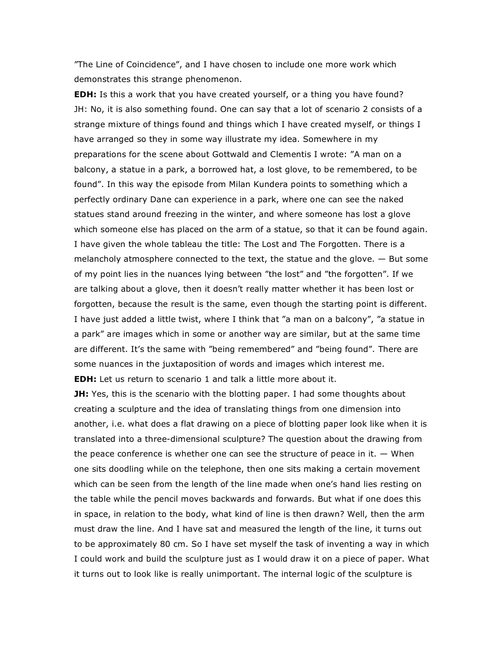"The Line of Coincidence", and I have chosen to include one more work which demonstrates this strange phenomenon.

**EDH:** Is this a work that you have created yourself, or a thing you have found? JH: No, it is also something found. One can say that a lot of scenario 2 consists of a strange mixture of things found and things which I have created myself, or things I have arranged so they in some way illustrate my idea. Somewhere in my preparations for the scene about Gottwald and Clementis I wrote: "A man on a balcony, a statue in a park, a borrowed hat, a lost glove, to be remembered, to be found". In this way the episode from Milan Kundera points to something which a perfectly ordinary Dane can experience in a park, where one can see the naked statues stand around freezing in the winter, and where someone has lost a glove which someone else has placed on the arm of a statue, so that it can be found again. I have given the whole tableau the title: The Lost and The Forgotten. There is a melancholy atmosphere connected to the text, the statue and the glove.  $-$  But some of my point lies in the nuances lying between "the lost" and "the forgotten". If we are talking about a glove, then it doesn't really matter whether it has been lost or forgotten, because the result is the same, even though the starting point is different. I have just added a little twist, where I think that "a man on a balcony", "a statue in a park" are images which in some or another way are similar, but at the same time are different. It's the same with "being remembered" and "being found". There are some nuances in the juxtaposition of words and images which interest me. **EDH:** Let us return to scenario 1 and talk a little more about it.

**JH:** Yes, this is the scenario with the blotting paper. I had some thoughts about creating a sculpture and the idea of translating things from one dimension into another, i.e. what does a flat drawing on a piece of blotting paper look like when it is translated into a three-dimensional sculpture? The question about the drawing from the peace conference is whether one can see the structure of peace in it.  $-$  When one sits doodling while on the telephone, then one sits making a certain movement which can be seen from the length of the line made when one's hand lies resting on the table while the pencil moves backwards and forwards. But what if one does this in space, in relation to the body, what kind of line is then drawn? Well, then the arm must draw the line. And I have sat and measured the length of the line, it turns out to be approximately 80 cm. So I have set myself the task of inventing a way in which I could work and build the sculpture just as I would draw it on a piece of paper. What it turns out to look like is really unimportant. The internal logic of the sculpture is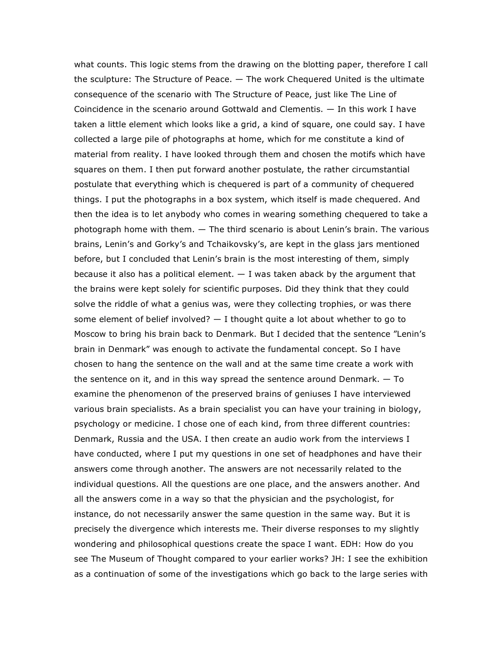what counts. This logic stems from the drawing on the blotting paper, therefore I call the sculpture: The Structure of Peace. — The work Chequered United is the ultimate consequence of the scenario with The Structure of Peace, just like The Line of Coincidence in the scenario around Gottwald and Clementis. — In this work I have taken a little element which looks like a grid, a kind of square, one could say. I have collected a large pile of photographs at home, which for me constitute a kind of material from reality. I have looked through them and chosen the motifs which have squares on them. I then put forward another postulate, the rather circumstantial postulate that everything which is chequered is part of a community of chequered things. I put the photographs in a box system, which itself is made chequered. And then the idea is to let anybody who comes in wearing something chequered to take a photograph home with them. — The third scenario is about Lenin's brain. The various brains, Lenin's and Gorky's and Tchaikovsky's, are kept in the glass jars mentioned before, but I concluded that Lenin's brain is the most interesting of them, simply because it also has a political element.  $-$  I was taken aback by the argument that the brains were kept solely for scientific purposes. Did they think that they could solve the riddle of what a genius was, were they collecting trophies, or was there some element of belief involved?  $-1$  thought quite a lot about whether to go to Moscow to bring his brain back to Denmark. But I decided that the sentence "Lenin's brain in Denmark" was enough to activate the fundamental concept. So I have chosen to hang the sentence on the wall and at the same time create a work with the sentence on it, and in this way spread the sentence around Denmark. — To examine the phenomenon of the preserved brains of geniuses I have interviewed various brain specialists. As a brain specialist you can have your training in biology, psychology or medicine. I chose one of each kind, from three different countries: Denmark, Russia and the USA. I then create an audio work from the interviews I have conducted, where I put my questions in one set of headphones and have their answers come through another. The answers are not necessarily related to the individual questions. All the questions are one place, and the answers another. And all the answers come in a way so that the physician and the psychologist, for instance, do not necessarily answer the same question in the same way. But it is precisely the divergence which interests me. Their diverse responses to my slightly wondering and philosophical questions create the space I want. EDH: How do you see The Museum of Thought compared to your earlier works? JH: I see the exhibition as a continuation of some of the investigations which go back to the large series with